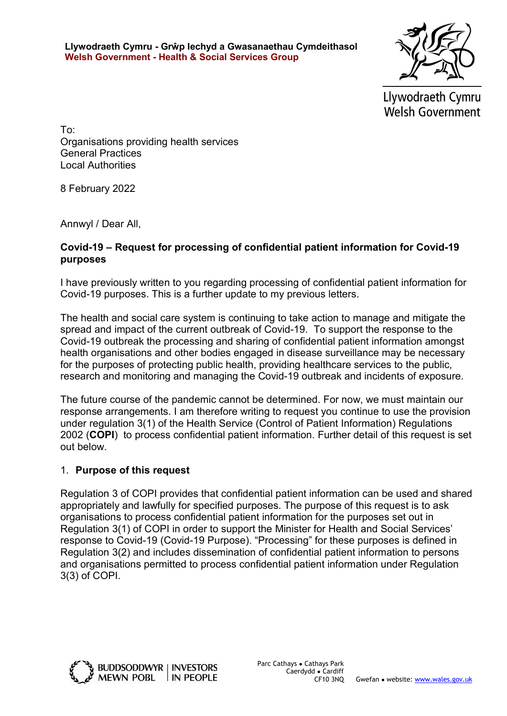Llywodraeth Cymru - Grŵp Iechyd a Gwasanaethau Cymdeithasol Welsh Government - Health & Social Services Group



Llywodraeth Cymru **Welsh Government** 

To: Organisations providing health services General Practices Local Authorities

8 February 2022

Annwyl / Dear All,

#### Covid-19 – Request for processing of confidential patient information for Covid-19 purposes

I have previously written to you regarding processing of confidential patient information for Covid-19 purposes. This is a further update to my previous letters.

The health and social care system is continuing to take action to manage and mitigate the spread and impact of the current outbreak of Covid-19. To support the response to the Covid-19 outbreak the processing and sharing of confidential patient information amongst health organisations and other bodies engaged in disease surveillance may be necessary for the purposes of protecting public health, providing healthcare services to the public, research and monitoring and managing the Covid-19 outbreak and incidents of exposure.

The future course of the pandemic cannot be determined. For now, we must maintain our response arrangements. I am therefore writing to request you continue to use the provision under regulation 3(1) of the Health Service (Control of Patient Information) Regulations 2002 (COPI) to process confidential patient information. Further detail of this request is set out below.

#### 1. Purpose of this request

Regulation 3 of COPI provides that confidential patient information can be used and shared appropriately and lawfully for specified purposes. The purpose of this request is to ask organisations to process confidential patient information for the purposes set out in Regulation 3(1) of COPI in order to support the Minister for Health and Social Services' response to Covid-19 (Covid-19 Purpose). "Processing" for these purposes is defined in Regulation 3(2) and includes dissemination of confidential patient information to persons and organisations permitted to process confidential patient information under Regulation 3(3) of COPI.

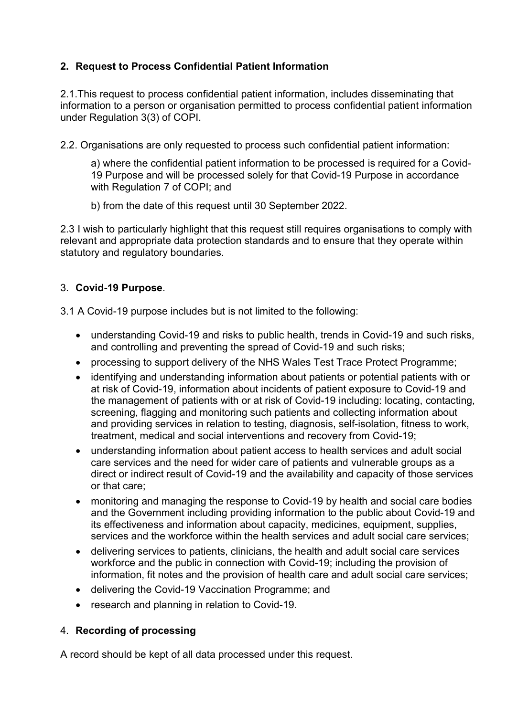# 2. Request to Process Confidential Patient Information

2.1.This request to process confidential patient information, includes disseminating that information to a person or organisation permitted to process confidential patient information under Regulation 3(3) of COPI.

2.2. Organisations are only requested to process such confidential patient information:

a) where the confidential patient information to be processed is required for a Covid-19 Purpose and will be processed solely for that Covid-19 Purpose in accordance with Regulation 7 of COPI; and

b) from the date of this request until 30 September 2022.

2.3 I wish to particularly highlight that this request still requires organisations to comply with relevant and appropriate data protection standards and to ensure that they operate within statutory and regulatory boundaries.

## 3. Covid-19 Purpose.

3.1 A Covid-19 purpose includes but is not limited to the following:

- understanding Covid-19 and risks to public health, trends in Covid-19 and such risks, and controlling and preventing the spread of Covid-19 and such risks;
- processing to support delivery of the NHS Wales Test Trace Protect Programme;
- identifying and understanding information about patients or potential patients with or at risk of Covid-19, information about incidents of patient exposure to Covid-19 and the management of patients with or at risk of Covid-19 including: locating, contacting, screening, flagging and monitoring such patients and collecting information about and providing services in relation to testing, diagnosis, self-isolation, fitness to work, treatment, medical and social interventions and recovery from Covid-19;
- understanding information about patient access to health services and adult social care services and the need for wider care of patients and vulnerable groups as a direct or indirect result of Covid-19 and the availability and capacity of those services or that care;
- monitoring and managing the response to Covid-19 by health and social care bodies and the Government including providing information to the public about Covid-19 and its effectiveness and information about capacity, medicines, equipment, supplies, services and the workforce within the health services and adult social care services;
- delivering services to patients, clinicians, the health and adult social care services workforce and the public in connection with Covid-19; including the provision of information, fit notes and the provision of health care and adult social care services;
- delivering the Covid-19 Vaccination Programme; and
- research and planning in relation to Covid-19.

## 4. Recording of processing

A record should be kept of all data processed under this request.